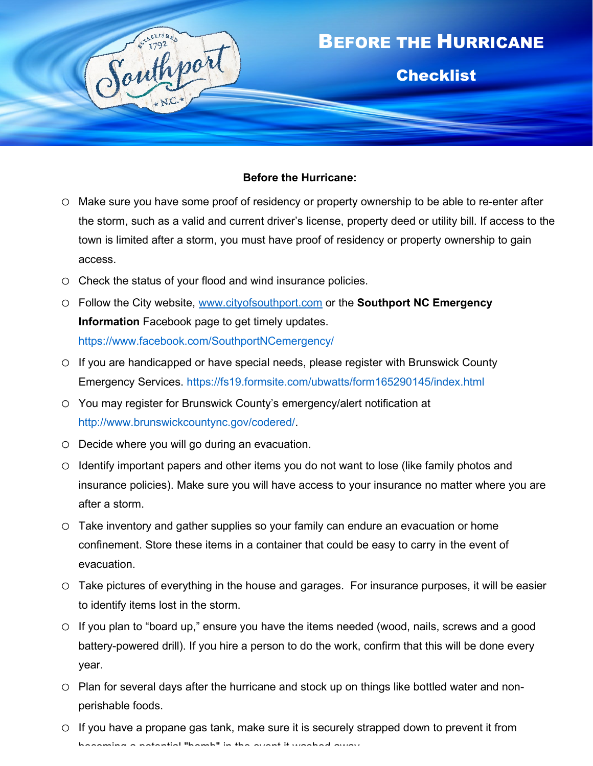

## **Before the Hurricane:**

- o Make sure you have some proof of residency or property ownership to be able to re-enter after the storm, such as a valid and current driver's license, property deed or utility bill. If access to the town is limited after a storm, you must have proof of residency or property ownership to gain access.
- o Check the status of your flood and wind insurance policies.
- o Follow the City website, [www.cityofsouthport.com](http://www.cityofsouthport.com/) or the **Southport NC Emergency Information** Facebook page to get timely updates. <https://www.facebook.com/SouthportNCemergency/>
- o If you are handicapped or have special needs, please register with Brunswick County Emergency Services.<https://fs19.formsite.com/ubwatts/form165290145/index.html>
- o You may register for Brunswick County's emergency/alert notification at [http://www.brunswickcountync.gov/codered/.](http://www.brunswickcountync.gov/codered/)
- o Decide where you will go during an evacuation.
- o Identify important papers and other items you do not want to lose (like family photos and insurance policies). Make sure you will have access to your insurance no matter where you are after a storm.
- o Take inventory and gather supplies so your family can endure an evacuation or home confinement. Store these items in a container that could be easy to carry in the event of evacuation.
- o Take pictures of everything in the house and garages. For insurance purposes, it will be easier to identify items lost in the storm.
- o If you plan to "board up," ensure you have the items needed (wood, nails, screws and a good battery-powered drill). If you hire a person to do the work, confirm that this will be done every year.
- o Plan for several days after the hurricane and stock up on things like bottled water and nonperishable foods.
- $\circ$  If you have a propane gas tank, make sure it is securely strapped down to prevent it from becoming a potential "bomb" in the event it washed away